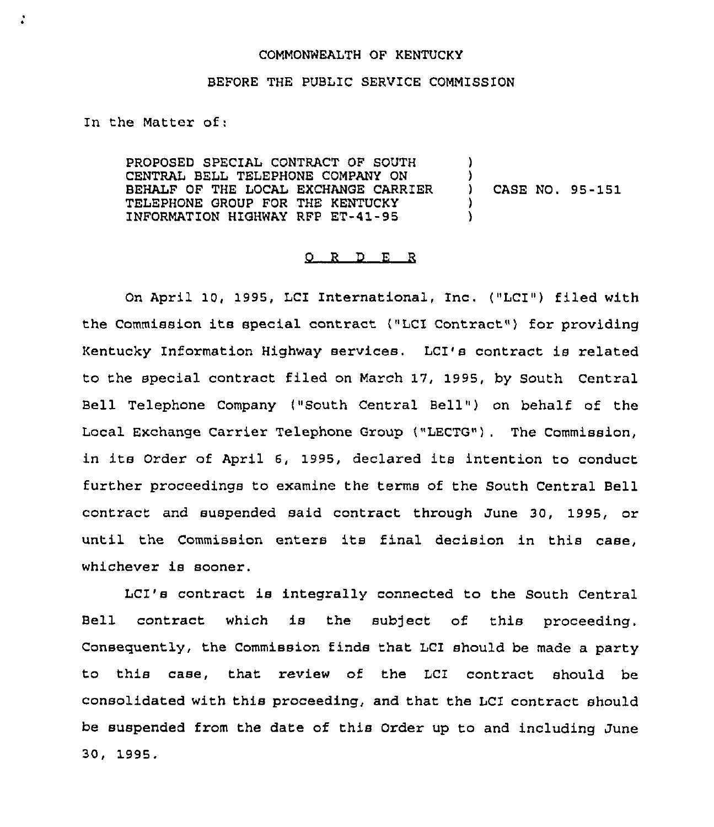## COMMONWEALTH OF KENTUCKY

## BEFORE THE PUBLIC SERVICE COMMISSION

In the Matter of:

PROPOSED SPECIAL CONTRACT OF SOUTH CENTRAL BELL TELEPHONE COMPANY ON BEHALF OF THE LOCAL EXCHANGE CARRIER TELEPHONE GROUP FOR THE KENTUCKY INFORMATION HIGHWAY RFP ET-41-95 )  $\left\{ \right\}$ )

) CASE NO. 95-151

## 0 R <sup>D</sup> E R

On April 10, 1995, LCI International, Inc. ("LCI") filed with the Commission its special contract ("LCI Contract") for providing Kentucky Information Highway services, LCI's contract is related to the special contract filed on March 17, 1995, by South Central Bell Telephone Company ("South Central Bell") on behalf of the Local Exchange Carrier Telephone Group ("LECTG") . The Commission, in its Order of April 6, 1995, declared its intention to conduct further proceedings to examine the terms of the South Central Bell contract and suspended said contract through June 30, 1995, or until the Commission enters its final decision in this case, whichever is sooner.

LCI's contract is integrally connected to the South Central Bell contract which is the subject of this proceeding. Consequently, the Commission finds that 1CI should be made a party to this case, that review of the LCI contract should be consolidated with this proceeding, and that the LCI contract should be suspended from the date of this Order up to and including June 30, 1995.